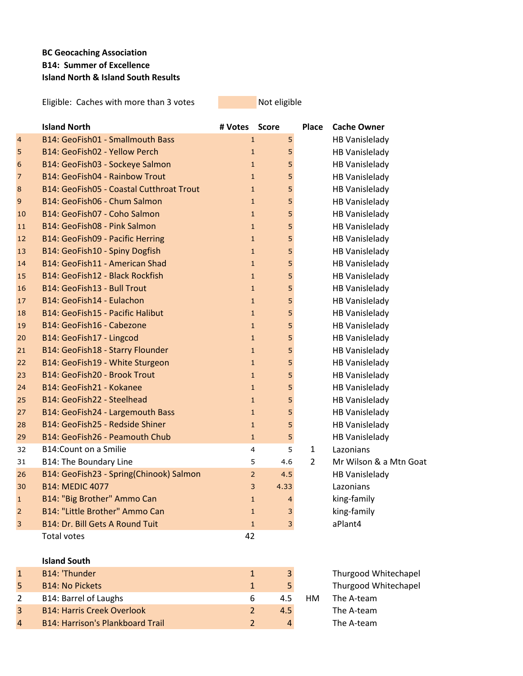## **BC Geocaching Association B14: Summer of Excellence Island North & Island South Results**

Eligible: Caches with more than 3 votes Not eligible

|                 | <b>Island North</b>                      | # Votes Score  |                | Place          | <b>Cache Owner</b>     |
|-----------------|------------------------------------------|----------------|----------------|----------------|------------------------|
| $\overline{4}$  | B14: GeoFish01 - Smallmouth Bass         | $\mathbf{1}$   | 5              |                | <b>HB Vanislelady</b>  |
| 5               | B14: GeoFish02 - Yellow Perch            | $\mathbf{1}$   | 5              |                | HB Vanislelady         |
| $6\phantom{1}6$ | B14: GeoFish03 - Sockeye Salmon          | $\mathbf{1}$   | 5              |                | <b>HB Vanislelady</b>  |
| 7               | B14: GeoFish04 - Rainbow Trout           | $\mathbf{1}$   | 5              |                | HB Vanislelady         |
| 8               | B14: GeoFish05 - Coastal Cutthroat Trout | $\mathbf{1}$   | 5              |                | HB Vanislelady         |
| 9               | B14: GeoFish06 - Chum Salmon             | $\mathbf{1}$   | 5              |                | <b>HB Vanislelady</b>  |
| 10              | B14: GeoFish07 - Coho Salmon             | $\mathbf{1}$   | 5              |                | HB Vanislelady         |
| 11              | B14: GeoFish08 - Pink Salmon             | $\mathbf{1}$   | 5              |                | HB Vanislelady         |
| 12              | B14: GeoFish09 - Pacific Herring         | $\mathbf{1}$   | 5              |                | HB Vanislelady         |
| 13              | B14: GeoFish10 - Spiny Dogfish           | $\mathbf{1}$   | 5              |                | <b>HB Vanislelady</b>  |
| 14              | B14: GeoFish11 - American Shad           | $\mathbf{1}$   | 5              |                | HB Vanislelady         |
| 15              | B14: GeoFish12 - Black Rockfish          | $\mathbf{1}$   | 5              |                | HB Vanislelady         |
| 16              | B14: GeoFish13 - Bull Trout              | $\mathbf{1}$   | 5              |                | <b>HB Vanislelady</b>  |
| 17              | B14: GeoFish14 - Eulachon                | $\mathbf{1}$   | 5              |                | HB Vanislelady         |
| 18              | B14: GeoFish15 - Pacific Halibut         | $\mathbf{1}$   | 5              |                | <b>HB Vanislelady</b>  |
| 19              | B14: GeoFish16 - Cabezone                | $\mathbf{1}$   | 5              |                | HB Vanislelady         |
| 20              | B14: GeoFish17 - Lingcod                 | $\mathbf{1}$   | 5              |                | <b>HB Vanislelady</b>  |
| 21              | B14: GeoFish18 - Starry Flounder         | $\mathbf{1}$   | 5              |                | <b>HB Vanislelady</b>  |
| 22              | B14: GeoFish19 - White Sturgeon          | $\mathbf{1}$   | 5              |                | <b>HB Vanislelady</b>  |
| 23              | B14: GeoFish20 - Brook Trout             | $\mathbf{1}$   | 5              |                | <b>HB Vanislelady</b>  |
| 24              | B14: GeoFish21 - Kokanee                 | $\mathbf{1}$   | 5              |                | HB Vanislelady         |
| 25              | B14: GeoFish22 - Steelhead               | $\mathbf{1}$   | 5              |                | HB Vanislelady         |
| 27              | B14: GeoFish24 - Largemouth Bass         | $\mathbf{1}$   | 5              |                | <b>HB Vanislelady</b>  |
| 28              | B14: GeoFish25 - Redside Shiner          | $\mathbf{1}$   | 5              |                | HB Vanislelady         |
| 29              | B14: GeoFish26 - Peamouth Chub           | $\mathbf{1}$   | 5              |                | <b>HB Vanislelady</b>  |
| 32              | <b>B14:Count on a Smilie</b>             | 4              | 5              | $\mathbf{1}$   | Lazonians              |
| 31              | <b>B14: The Boundary Line</b>            | 5              | 4.6            | $\overline{2}$ | Mr Wilson & a Mtn Goat |
| 26              | B14: GeoFish23 - Spring(Chinook) Salmon  | $\overline{2}$ | 4.5            |                | <b>HB Vanislelady</b>  |
| 30              | <b>B14: MEDIC 4077</b>                   | 3              | 4.33           |                | Lazonians              |
| $\mathbf{1}$    | B14: "Big Brother" Ammo Can              | $\mathbf{1}$   | $\overline{4}$ |                | king-family            |
| $\overline{2}$  | B14: "Little Brother" Ammo Can           | $\mathbf{1}$   | 3              |                | king-family            |
| 3               | B14: Dr. Bill Gets A Round Tuit          | $\mathbf{1}$   | 3              |                | aPlant4                |
|                 | <b>Total votes</b>                       | 42             |                |                |                        |
|                 | <b>Island South</b>                      |                |                |                |                        |
| $\mathbf{1}$    | B14: 'Thunder                            | $\mathbf{1}$   | 3              |                | Thurgood Whitechapel   |
| 5               | <b>B14: No Pickets</b>                   | $\mathbf{1}$   | 5              |                | Thurgood Whitechapel   |
| 2               | <b>B14: Barrel of Laughs</b>             | 6              | 4.5            | HM             | The A-team             |
| 3               | <b>B14: Harris Creek Overlook</b>        | $\overline{2}$ | 4.5            |                | The A-team             |

4 B14: Harrison's Plankboard Trail 2 4 4 The A-team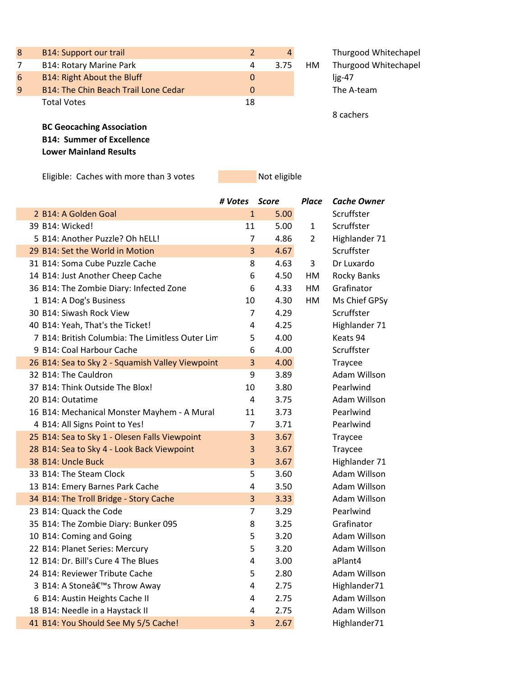| 8 | <b>B14: Support our trail</b>        | $\overline{2}$ | 4    |     | Thurgood Whitechapel |
|---|--------------------------------------|----------------|------|-----|----------------------|
| 7 | <b>B14: Rotary Marine Park</b>       | 4              | 3.75 | HM. | Thurgood Whitechapel |
| 6 | B14: Right About the Bluff           | 0              |      |     | $lig-47$             |
| 9 | B14: The Chin Beach Trail Lone Cedar | 0              |      |     | The A-team           |
|   | <b>Total Votes</b>                   | 18             |      |     |                      |
|   |                                      |                |      |     | 8 cachers            |
|   | <b>BC Geocaching Association</b>     |                |      |     |                      |
|   | <b>B14: Summer of Excellence</b>     |                |      |     |                      |

**Lower Mainland Results**

F

F

Eligible: Caches with more than 3 votes Not eligible

|                                                  | # Votes        | Score | <b>Place</b>   | <b>Cache Owner</b> |
|--------------------------------------------------|----------------|-------|----------------|--------------------|
| 2 B14: A Golden Goal                             | $\mathbf{1}$   | 5.00  |                | Scruffster         |
| 39 B14: Wicked!                                  | 11             | 5.00  | $\mathbf{1}$   | Scruffster         |
| 5 B14: Another Puzzle? Oh hELL!                  | $\overline{7}$ | 4.86  | $\overline{2}$ | Highlander 71      |
| 29 B14: Set the World in Motion                  | 3              | 4.67  |                | Scruffster         |
| 31 B14: Soma Cube Puzzle Cache                   | 8              | 4.63  | 3              | Dr Luxardo         |
| 14 B14: Just Another Cheep Cache                 | 6              | 4.50  | HM             | Rocky Banks        |
| 36 B14: The Zombie Diary: Infected Zone          | 6              | 4.33  | HM             | Grafinator         |
| 1 B14: A Dog's Business                          | 10             | 4.30  | HM             | Ms Chief GPSy      |
| 30 B14: Siwash Rock View                         | $\overline{7}$ | 4.29  |                | Scruffster         |
| 40 B14: Yeah, That's the Ticket!                 | 4              | 4.25  |                | Highlander 71      |
| 7 B14: British Columbia: The Limitless Outer Lim | 5              | 4.00  |                | Keats 94           |
| 9 B14: Coal Harbour Cache                        | 6              | 4.00  |                | Scruffster         |
| 26 B14: Sea to Sky 2 - Squamish Valley Viewpoint | 3              | 4.00  |                | Traycee            |
| 32 B14: The Cauldron                             | 9              | 3.89  |                | Adam Willson       |
| 37 B14: Think Outside The Blox!                  | 10             | 3.80  |                | Pearlwind          |
| 20 B14: Outatime                                 | 4              | 3.75  |                | Adam Willson       |
| 16 B14: Mechanical Monster Mayhem - A Mural      | 11             | 3.73  |                | Pearlwind          |
| 4 B14: All Signs Point to Yes!                   | $\overline{7}$ | 3.71  |                | Pearlwind          |
| 25 B14: Sea to Sky 1 - Olesen Falls Viewpoint    | 3              | 3.67  |                | Traycee            |
| 28 B14: Sea to Sky 4 - Look Back Viewpoint       | 3              | 3.67  |                | Traycee            |
| 38 B14: Uncle Buck                               | 3              | 3.67  |                | Highlander 71      |
| 33 B14: The Steam Clock                          | 5              | 3.60  |                | Adam Willson       |
| 13 B14: Emery Barnes Park Cache                  | 4              | 3.50  |                | Adam Willson       |
| 34 B14: The Troll Bridge - Story Cache           | 3              | 3.33  |                | Adam Willson       |
| 23 B14: Quack the Code                           | $\overline{7}$ | 3.29  |                | Pearlwind          |
| 35 B14: The Zombie Diary: Bunker 095             | 8              | 3.25  |                | Grafinator         |
| 10 B14: Coming and Going                         | 5              | 3.20  |                | Adam Willson       |
| 22 B14: Planet Series: Mercury                   | 5              | 3.20  |                | Adam Willson       |
| 12 B14: Dr. Bill's Cure 4 The Blues              | $\overline{4}$ | 3.00  |                | aPlant4            |
| 24 B14: Reviewer Tribute Cache                   | 5              | 2.80  |                | Adam Willson       |
| 3 B14: A Stone's Throw Away                      | 4              | 2.75  |                | Highlander71       |
| 6 B14: Austin Heights Cache II                   | 4              | 2.75  |                | Adam Willson       |
| 18 B14: Needle in a Haystack II                  | 4              | 2.75  |                | Adam Willson       |
| 41 B14: You Should See My 5/5 Cache!             | 3              | 2.67  |                | Highlander71       |